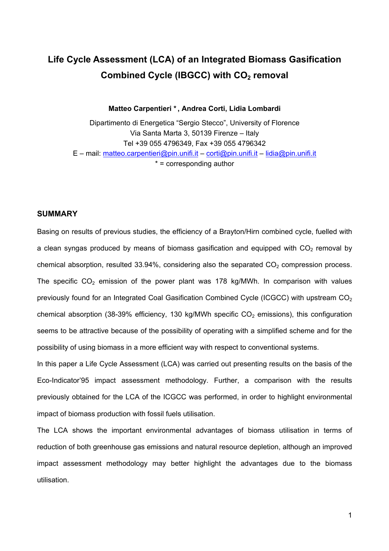# **Life Cycle Assessment (LCA) of an Integrated Biomass Gasification Combined Cycle (IBGCC) with CO<sub>2</sub> removal**

**Matteo Carpentieri \*, Andrea Corti, Lidia Lombardi** 

Dipartimento di Energetica "Sergio Stecco", University of Florence Via Santa Marta 3, 50139 Firenze – Italy Tel +39 055 4796349, Fax +39 055 4796342  $E$  – mail: [matteo.carpentieri@pin.unifi.it](mailto:matteo.carpentieri@dicea.unifi.it) – [corti@pin.unifi.it](mailto:corti@pin.unifi.it) – [lidia@pin.unifi.it](mailto:lidia@pin.unifi.it)  $* =$  corresponding author

#### **SUMMARY**

Basing on results of previous studies, the efficiency of a Brayton/Hirn combined cycle, fuelled with a clean syngas produced by means of biomass gasification and equipped with  $CO<sub>2</sub>$  removal by chemical absorption, resulted  $33.94\%$ , considering also the separated  $CO<sub>2</sub>$  compression process. The specific  $CO<sub>2</sub>$  emission of the power plant was 178 kg/MWh. In comparison with values previously found for an Integrated Coal Gasification Combined Cycle (ICGCC) with upstream  $CO<sub>2</sub>$ chemical absorption (38-39% efficiency, 130 kg/MWh specific  $CO<sub>2</sub>$  emissions), this configuration seems to be attractive because of the possibility of operating with a simplified scheme and for the possibility of using biomass in a more efficient way with respect to conventional systems.

In this paper a Life Cycle Assessment (LCA) was carried out presenting results on the basis of the Eco-Indicator'95 impact assessment methodology. Further, a comparison with the results previously obtained for the LCA of the ICGCC was performed, in order to highlight environmental impact of biomass production with fossil fuels utilisation.

The LCA shows the important environmental advantages of biomass utilisation in terms of reduction of both greenhouse gas emissions and natural resource depletion, although an improved impact assessment methodology may better highlight the advantages due to the biomass utilisation.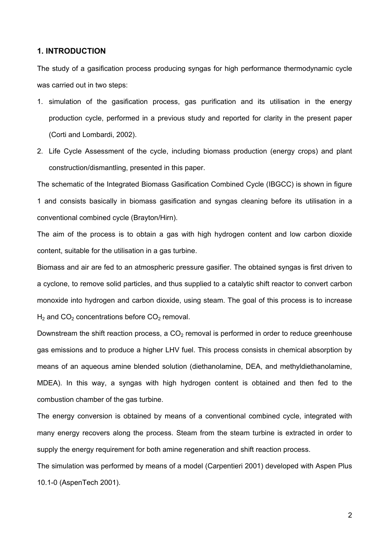#### **1. INTRODUCTION**

The study of a gasification process producing syngas for high performance thermodynamic cycle was carried out in two steps:

- 1. simulation of the gasification process, gas purification and its utilisation in the energy production cycle, performed in a previous study and reported for clarity in the present paper (Corti and Lombardi, 2002).
- 2. Life Cycle Assessment of the cycle, including biomass production (energy crops) and plant construction/dismantling, presented in this paper.

The schematic of the Integrated Biomass Gasification Combined Cycle (IBGCC) is shown in figure 1 and consists basically in biomass gasification and syngas cleaning before its utilisation in a conventional combined cycle (Brayton/Hirn).

The aim of the process is to obtain a gas with high hydrogen content and low carbon dioxide content, suitable for the utilisation in a gas turbine.

Biomass and air are fed to an atmospheric pressure gasifier. The obtained syngas is first driven to a cyclone, to remove solid particles, and thus supplied to a catalytic shift reactor to convert carbon monoxide into hydrogen and carbon dioxide, using steam. The goal of this process is to increase  $H_2$  and  $CO_2$  concentrations before  $CO_2$  removal.

Downstream the shift reaction process, a  $CO<sub>2</sub>$  removal is performed in order to reduce greenhouse gas emissions and to produce a higher LHV fuel. This process consists in chemical absorption by means of an aqueous amine blended solution (diethanolamine, DEA, and methyldiethanolamine, MDEA). In this way, a syngas with high hydrogen content is obtained and then fed to the combustion chamber of the gas turbine.

The energy conversion is obtained by means of a conventional combined cycle, integrated with many energy recovers along the process. Steam from the steam turbine is extracted in order to supply the energy requirement for both amine regeneration and shift reaction process.

The simulation was performed by means of a model (Carpentieri 2001) developed with Aspen Plus 10.1-0 (AspenTech 2001).

2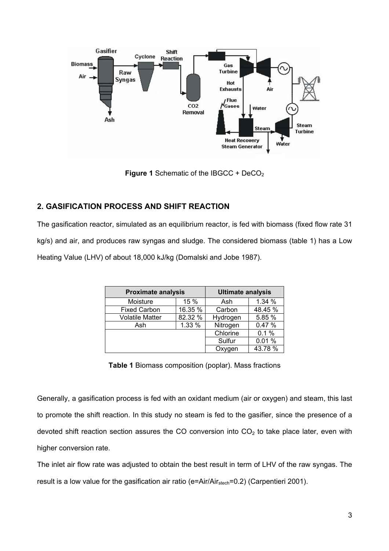

**Figure 1** Schematic of the IBGCC + DeCO<sub>2</sub>

# **2. GASIFICATION PROCESS AND SHIFT REACTION**

The gasification reactor, simulated as an equilibrium reactor, is fed with biomass (fixed flow rate 31 kg/s) and air, and produces raw syngas and sludge. The considered biomass (table 1) has a Low Heating Value (LHV) of about 18,000 kJ/kg (Domalski and Jobe 1987).

| <b>Proximate analysis</b>         |      | <b>Ultimate analysis</b> |         |  |
|-----------------------------------|------|--------------------------|---------|--|
| Moisture                          | 15 % |                          | 1.34 %  |  |
| 16.35 %<br><b>Fixed Carbon</b>    |      | Carbon                   | 48.45 % |  |
| 82.32 %<br><b>Volatile Matter</b> |      | Hydrogen                 | 5.85 %  |  |
| 1.33 %<br>Ash                     |      | Nitrogen                 | 0.47%   |  |
|                                   |      | Chlorine                 | 0.1%    |  |
|                                   |      | Sulfur                   | 0.01%   |  |
|                                   |      | Oxygen                   | 43.78 % |  |

**Table 1** Biomass composition (poplar). Mass fractions

Generally, a gasification process is fed with an oxidant medium (air or oxygen) and steam, this last to promote the shift reaction. In this study no steam is fed to the gasifier, since the presence of a devoted shift reaction section assures the CO conversion into  $CO<sub>2</sub>$  to take place later, even with higher conversion rate.

The inlet air flow rate was adjusted to obtain the best result in term of LHV of the raw syngas. The result is a low value for the gasification air ratio (e=Air/Air $_{\text{stech}}$ =0.2) (Carpentieri 2001).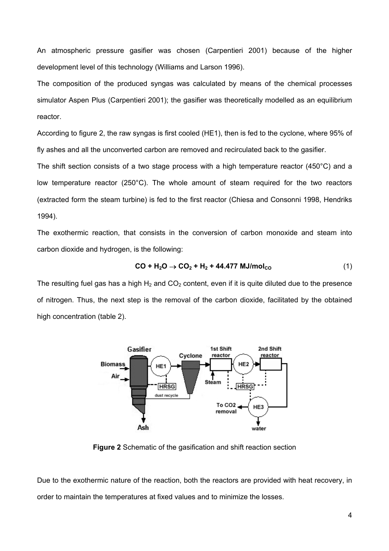An atmospheric pressure gasifier was chosen (Carpentieri 2001) because of the higher development level of this technology (Williams and Larson 1996).

The composition of the produced syngas was calculated by means of the chemical processes simulator Aspen Plus (Carpentieri 2001); the gasifier was theoretically modelled as an equilibrium reactor.

According to figure 2, the raw syngas is first cooled (HE1), then is fed to the cyclone, where 95% of fly ashes and all the unconverted carbon are removed and recirculated back to the gasifier.

The shift section consists of a two stage process with a high temperature reactor (450°C) and a low temperature reactor (250°C). The whole amount of steam required for the two reactors (extracted form the steam turbine) is fed to the first reactor (Chiesa and Consonni 1998, Hendriks 1994).

The exothermic reaction, that consists in the conversion of carbon monoxide and steam into carbon dioxide and hydrogen, is the following:

$$
CO + H2O \to CO2 + H2 + 44.477 MJ/molCO
$$
 (1)

The resulting fuel gas has a high  $H_2$  and  $CO_2$  content, even if it is quite diluted due to the presence of nitrogen. Thus, the next step is the removal of the carbon dioxide, facilitated by the obtained high concentration (table 2).



**Figure 2** Schematic of the gasification and shift reaction section

Due to the exothermic nature of the reaction, both the reactors are provided with heat recovery, in order to maintain the temperatures at fixed values and to minimize the losses.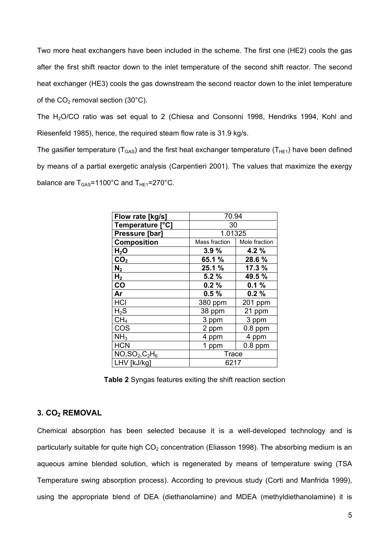Two more heat exchangers have been included in the scheme. The first one (HE2) cools the gas after the first shift reactor down to the inlet temperature of the second shift reactor. The second heat exchanger (HE3) cools the gas downstream the second reactor down to the inlet temperature of the  $CO<sub>2</sub>$  removal section (30 $^{\circ}$ C).

The H2O/CO ratio was set equal to 2 (Chiesa and Consonni 1998, Hendriks 1994, Kohl and Riesenfeld 1985), hence, the required steam flow rate is 31.9 kg/s.

The gasifier temperature ( $T<sub>GAS</sub>$ ) and the first heat exchanger temperature ( $T<sub>HE1</sub>$ ) have been defined by means of a partial exergetic analysis (Carpentieri 2001). The values that maximize the exergy balance are  $T_{GAS}$ =1100°C and  $T_{HE1}$ =270°C.

| Flow rate [kg/s]   | 70.94         |               |  |  |
|--------------------|---------------|---------------|--|--|
| Temperature [°C]   | 30            |               |  |  |
| Pressure [bar]     | 1.01325       |               |  |  |
| <b>Composition</b> | Mass fraction | Mole fraction |  |  |
| H <sub>2</sub> O   | 3.9%          | 4.2 %         |  |  |
| CO <sub>2</sub>    | 65.1 %        | 28.6%         |  |  |
| $\mathsf{N}_2$     | 25.1 %        | 17.3 %        |  |  |
| H <sub>2</sub>     | 5.2%          | 49.5 %        |  |  |
| co                 | 0.2%<br>0.1%  |               |  |  |
| Ar                 | 0.5%          | 0.2%          |  |  |
| <b>HCI</b>         | 380 ppm       | 201 ppm       |  |  |
| $H_2S$             | 38 ppm        | 21 ppm        |  |  |
| CH <sub>4</sub>    | 3 ppm         | 3 ppm         |  |  |
| COS                | 2 ppm         | $0.8$ ppm     |  |  |
| NH <sub>3</sub>    | 4 ppm         | 4 ppm         |  |  |
| <b>HCN</b>         | 1 ppm         | $0.8$ ppm     |  |  |
| $NO, SO_2, C_2H_6$ | <b>Trace</b>  |               |  |  |
| LHV [kJ/kg]        | 6217          |               |  |  |

**Table 2** Syngas features exiting the shift reaction section

# **3. CO<sub>2</sub> REMOVAL**

Chemical absorption has been selected because it is a well-developed technology and is particularly suitable for quite high  $CO<sub>2</sub>$  concentration (Eliasson 1998). The absorbing medium is an aqueous amine blended solution, which is regenerated by means of temperature swing (TSA Temperature swing absorption process). According to previous study (Corti and Manfrida 1999), using the appropriate blend of DEA (diethanolamine) and MDEA (methyldiethanolamine) it is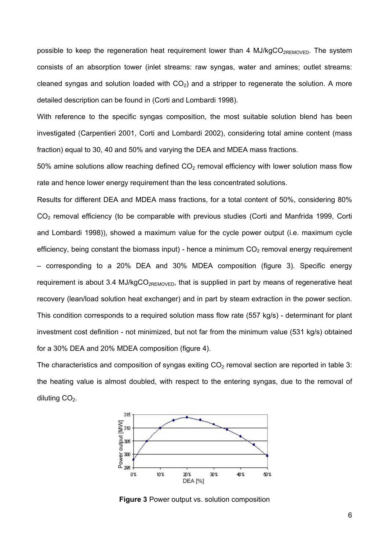possible to keep the regeneration heat requirement lower than 4 MJ/kgCO<sub>2REMOVED</sub>. The system consists of an absorption tower (inlet streams: raw syngas, water and amines; outlet streams: cleaned syngas and solution loaded with  $CO<sub>2</sub>$ ) and a stripper to regenerate the solution. A more detailed description can be found in (Corti and Lombardi 1998).

With reference to the specific syngas composition, the most suitable solution blend has been investigated (Carpentieri 2001, Corti and Lombardi 2002), considering total amine content (mass fraction) equal to 30, 40 and 50% and varying the DEA and MDEA mass fractions.

50% amine solutions allow reaching defined  $CO<sub>2</sub>$  removal efficiency with lower solution mass flow rate and hence lower energy requirement than the less concentrated solutions.

Results for different DEA and MDEA mass fractions, for a total content of 50%, considering 80% CO<sub>2</sub> removal efficiency (to be comparable with previous studies (Corti and Manfrida 1999, Corti and Lombardi 1998)), showed a maximum value for the cycle power output (i.e. maximum cycle efficiency, being constant the biomass input) - hence a minimum  $CO<sub>2</sub>$  removal energy requirement – corresponding to a 20% DEA and 30% MDEA composition (figure 3). Specific energy requirement is about 3.4 MJ/kgCO<sub>2REMOVED</sub>, that is supplied in part by means of regenerative heat recovery (lean/load solution heat exchanger) and in part by steam extraction in the power section. This condition corresponds to a required solution mass flow rate (557 kg/s) - determinant for plant investment cost definition - not minimized, but not far from the minimum value (531 kg/s) obtained for a 30% DEA and 20% MDEA composition (figure 4).

The characteristics and composition of syngas exiting  $CO<sub>2</sub>$  removal section are reported in table 3: the heating value is almost doubled, with respect to the entering syngas, due to the removal of diluting  $CO<sub>2</sub>$ .



**Figure 3** Power output vs. solution composition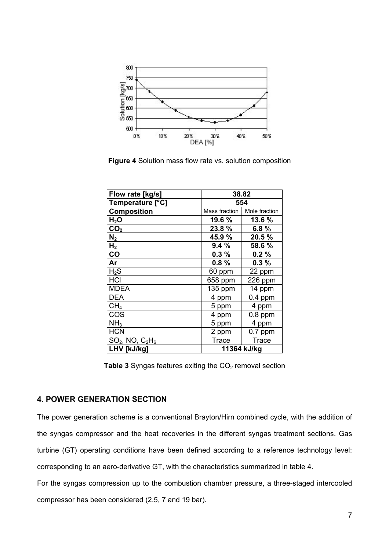

**Figure 4** Solution mass flow rate vs. solution composition

| Flow rate [kg/s]      | 38.82              |               |  |
|-----------------------|--------------------|---------------|--|
| Temperature [°C]      | 554                |               |  |
| <b>Composition</b>    | Mass fraction      | Mole fraction |  |
| $H_2O$                | 19.6 %             | 13.6 %        |  |
| CO <sub>2</sub>       | 23.8%              | 6.8 $%$       |  |
| N <sub>2</sub>        | 45.9%              | 20.5 %        |  |
| H <sub>2</sub>        | 9.4%<br>58.6 %     |               |  |
| CO                    | 0.3%<br>0.2%       |               |  |
| Ar                    | $0.8 \%$           | 0.3%          |  |
| $H_2S$                | 60 ppm             | 22 ppm        |  |
| <b>HCI</b>            | 658 ppm            | 226 ppm       |  |
| MDEA                  | 135 ppm            | 14 ppm        |  |
| DEA                   | $0.4$ ppm<br>4 ppm |               |  |
| CH <sub>4</sub>       | 4 ppm<br>5 ppm     |               |  |
| COS                   | 4 ppm              | $0.8$ ppm     |  |
| NH <sub>3</sub>       | 5 ppm              | 4 ppm         |  |
| <b>HCN</b>            | 2 ppm              | $0.7$ ppm     |  |
| $SO_2$ , NO, $C_2H_6$ | <b>Trace</b>       | Trace         |  |
| LHV [kJ/kg]           | 11364 kJ/kg        |               |  |

Table 3 Syngas features exiting the CO<sub>2</sub> removal section

# **4. POWER GENERATION SECTION**

The power generation scheme is a conventional Brayton/Hirn combined cycle, with the addition of the syngas compressor and the heat recoveries in the different syngas treatment sections. Gas turbine (GT) operating conditions have been defined according to a reference technology level: corresponding to an aero-derivative GT, with the characteristics summarized in table 4.

For the syngas compression up to the combustion chamber pressure, a three-staged intercooled compressor has been considered (2.5, 7 and 19 bar).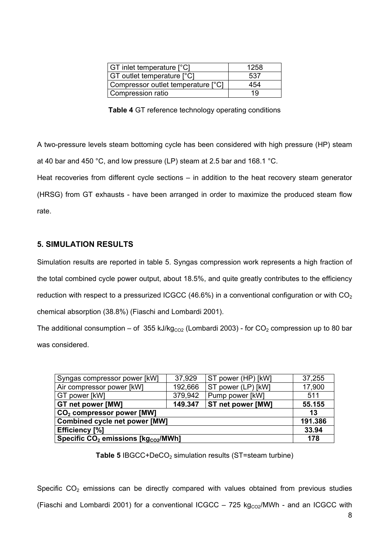| <b>GT</b> inlet temperature [°C]   | 1258 |
|------------------------------------|------|
| <b>GT</b> outlet temperature [°C]  | 537  |
| Compressor outlet temperature [°C] | 454  |
| Compression ratio                  | 19   |

**Table 4** GT reference technology operating conditions

A two-pressure levels steam bottoming cycle has been considered with high pressure (HP) steam at 40 bar and 450 °C, and low pressure (LP) steam at 2.5 bar and 168.1 °C.

Heat recoveries from different cycle sections – in addition to the heat recovery steam generator (HRSG) from GT exhausts - have been arranged in order to maximize the produced steam flow rate.

# **5. SIMULATION RESULTS**

Simulation results are reported in table 5. Syngas compression work represents a high fraction of the total combined cycle power output, about 18.5%, and quite greatly contributes to the efficiency reduction with respect to a pressurized ICGCC (46.6%) in a conventional configuration or with  $CO<sub>2</sub>$ chemical absorption (38.8%) (Fiaschi and Lombardi 2001).

The additional consumption – of 355 kJ/kg<sub>co2</sub> (Lombardi 2003) - for CO<sub>2</sub> compression up to 80 bar was considered.

| Syngas compressor power [kW]                                | ST power (HP) [kW] | 37,255                   |        |
|-------------------------------------------------------------|--------------------|--------------------------|--------|
| Air compressor power [kW]                                   | 192,666            | ST power (LP) [kW]       | 17,900 |
| GT power [kW]                                               | 379,942            | Pump power [kW]          | 511    |
| GT net power [MW]                                           | 149.347            | <b>ST net power [MW]</b> | 55.155 |
| CO <sub>2</sub> compressor power [MW]                       |                    |                          |        |
| <b>Combined cycle net power [MW]</b>                        |                    |                          |        |
| <b>Efficiency [%]</b>                                       |                    |                          |        |
| Specific CO <sub>2</sub> emissions [kg <sub>co2</sub> /MWh] |                    |                          | 178    |

**Table 5** IBGCC+DeCO<sub>2</sub> simulation results (ST=steam turbine)

Specific  $CO<sub>2</sub>$  emissions can be directly compared with values obtained from previous studies (Fiaschi and Lombardi 2001) for a conventional ICGCC – 725 kg $_{CO2}$ /MWh - and an ICGCC with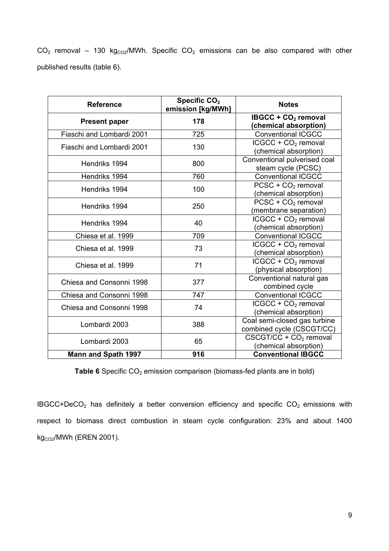$CO<sub>2</sub>$  removal – 130 kg<sub>CO2</sub>/MWh. Specific  $CO<sub>2</sub>$  emissions can be also compared with other published results (table 6).

| <b>Reference</b>           | Specific CO <sub>2</sub><br>emission [kg/MWh] | <b>Notes</b>                                                |  |
|----------------------------|-----------------------------------------------|-------------------------------------------------------------|--|
| <b>Present paper</b>       | 178                                           | IBGCC + $CO2$ removal<br>(chemical absorption)              |  |
| Fiaschi and Lombardi 2001  | 725                                           | <b>Conventional ICGCC</b>                                   |  |
| Fiaschi and Lombardi 2001  | 130                                           | $ICGCC + CO2$ removal<br>(chemical absorption)              |  |
| Hendriks 1994              | 800                                           | Conventional pulverised coal<br>steam cycle (PCSC)          |  |
| Hendriks 1994              | 760                                           | <b>Conventional ICGCC</b>                                   |  |
| Hendriks 1994              | 100                                           | $PCSC + CO2$ removal<br>(chemical absorption)               |  |
| Hendriks 1994              | 250                                           | $PCSC + CO2$ removal<br>(membrane separation)               |  |
| Hendriks 1994              | 40                                            | $ICGCC + CO2$ removal<br>(chemical absorption)              |  |
| Chiesa et al. 1999         | 709                                           | <b>Conventional ICGCC</b>                                   |  |
| Chiesa et al. 1999         | 73                                            | ICGCC + CO <sub>2</sub> removal<br>(chemical absorption)    |  |
| Chiesa et al. 1999         | 71                                            | $ICGCC + CO2$ removal<br>(physical absorption)              |  |
| Chiesa and Consonni 1998   | 377                                           | Conventional natural gas<br>combined cycle                  |  |
| Chiesa and Consonni 1998   | 747                                           | <b>Conventional ICGCC</b>                                   |  |
| Chiesa and Consonni 1998   | 74                                            | $ICGCC + CO2$ removal<br>(chemical absorption)              |  |
| Lombardi 2003              | 388                                           | Coal semi-closed gas turbine<br>combined cycle (CSCGT/CC)   |  |
| Lombardi 2003              | 65                                            | CSCGT/CC + CO <sub>2</sub> removal<br>(chemical absorption) |  |
| <b>Mann and Spath 1997</b> | 916                                           | <b>Conventional IBGCC</b>                                   |  |

**Table 6** Specific CO<sub>2</sub> emission comparison (biomass-fed plants are in bold)

 $IBGCC+DecO<sub>2</sub>$  has definitely a better conversion efficiency and specific  $CO<sub>2</sub>$  emissions with respect to biomass direct combustion in steam cycle configuration: 23% and about 1400  $kg<sub>CO2</sub>/MWh$  (EREN 2001).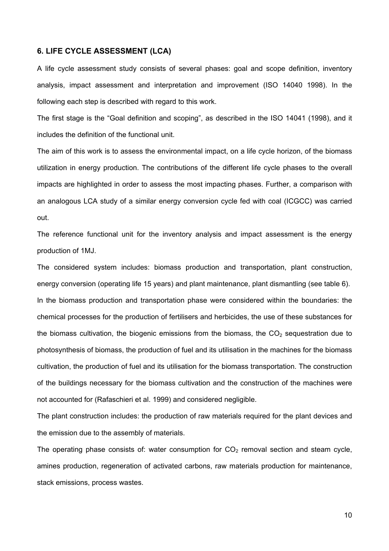#### **6. LIFE CYCLE ASSESSMENT (LCA)**

A life cycle assessment study consists of several phases: goal and scope definition, inventory analysis, impact assessment and interpretation and improvement (ISO 14040 1998). In the following each step is described with regard to this work.

The first stage is the "Goal definition and scoping", as described in the ISO 14041 (1998), and it includes the definition of the functional unit.

The aim of this work is to assess the environmental impact, on a life cycle horizon, of the biomass utilization in energy production. The contributions of the different life cycle phases to the overall impacts are highlighted in order to assess the most impacting phases. Further, a comparison with an analogous LCA study of a similar energy conversion cycle fed with coal (ICGCC) was carried out.

The reference functional unit for the inventory analysis and impact assessment is the energy production of 1MJ.

The considered system includes: biomass production and transportation, plant construction, energy conversion (operating life 15 years) and plant maintenance, plant dismantling (see table 6). In the biomass production and transportation phase were considered within the boundaries: the chemical processes for the production of fertilisers and herbicides, the use of these substances for the biomass cultivation, the biogenic emissions from the biomass, the  $CO<sub>2</sub>$  sequestration due to photosynthesis of biomass, the production of fuel and its utilisation in the machines for the biomass cultivation, the production of fuel and its utilisation for the biomass transportation. The construction of the buildings necessary for the biomass cultivation and the construction of the machines were not accounted for (Rafaschieri et al. 1999) and considered negligible.

The plant construction includes: the production of raw materials required for the plant devices and the emission due to the assembly of materials.

The operating phase consists of: water consumption for  $CO<sub>2</sub>$  removal section and steam cycle, amines production, regeneration of activated carbons, raw materials production for maintenance, stack emissions, process wastes.

10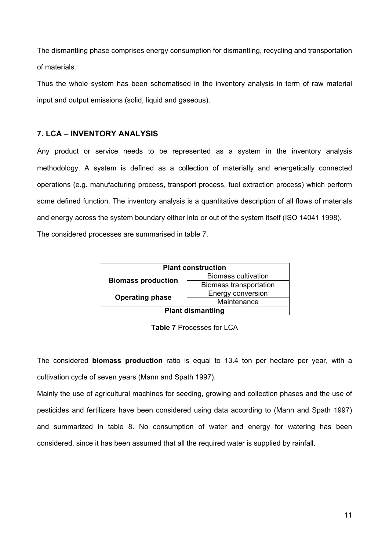The dismantling phase comprises energy consumption for dismantling, recycling and transportation of materials.

Thus the whole system has been schematised in the inventory analysis in term of raw material input and output emissions (solid, liquid and gaseous).

# **7. LCA – INVENTORY ANALYSIS**

Any product or service needs to be represented as a system in the inventory analysis methodology. A system is defined as a collection of materially and energetically connected operations (e.g. manufacturing process, transport process, fuel extraction process) which perform some defined function. The inventory analysis is a quantitative description of all flows of materials and energy across the system boundary either into or out of the system itself (ISO 14041 1998). The considered processes are summarised in table 7.

| <b>Plant construction</b> |                            |  |
|---------------------------|----------------------------|--|
| <b>Biomass production</b> | <b>Biomass cultivation</b> |  |
|                           | Biomass transportation     |  |
| <b>Operating phase</b>    | Energy conversion          |  |
|                           | Maintenance                |  |
| <b>Plant dismantling</b>  |                            |  |

**Table 7** Processes for LCA

The considered **biomass production** ratio is equal to 13.4 ton per hectare per year, with a cultivation cycle of seven years (Mann and Spath 1997).

Mainly the use of agricultural machines for seeding, growing and collection phases and the use of pesticides and fertilizers have been considered using data according to (Mann and Spath 1997) and summarized in table 8. No consumption of water and energy for watering has been considered, since it has been assumed that all the required water is supplied by rainfall.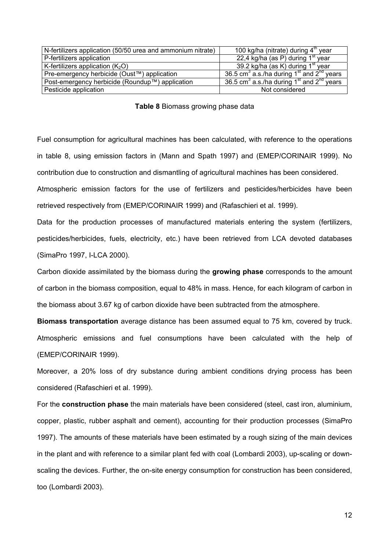| N-fertilizers application (50/50 urea and ammonium nitrate) | 100 kg/ha (nitrate) during 4 <sup>th</sup> year           |
|-------------------------------------------------------------|-----------------------------------------------------------|
| P-fertilizers application                                   | $22,4$ kg/ha (as P) during $1st$ year                     |
| K-fertilizers application $(K_2O)$                          | 39.2 kg/ha (as K) during 1 <sup>st</sup> year             |
| Pre-emergency herbicide (Oust™) application                 | 36.5 cm <sup>3</sup> a.s./ha during $1st$ and $2nd$ years |
| Post-emergency herbicide (Roundup™) application             | 36.5 cm <sup>3</sup> a.s./ha during $1st$ and $2nd$ years |
| Pesticide application                                       | Not considered                                            |

#### **Table 8** Biomass growing phase data

Fuel consumption for agricultural machines has been calculated, with reference to the operations in table 8, using emission factors in (Mann and Spath 1997) and (EMEP/CORINAIR 1999). No contribution due to construction and dismantling of agricultural machines has been considered.

Atmospheric emission factors for the use of fertilizers and pesticides/herbicides have been retrieved respectively from (EMEP/CORINAIR 1999) and (Rafaschieri et al. 1999).

Data for the production processes of manufactured materials entering the system (fertilizers, pesticides/herbicides, fuels, electricity, etc.) have been retrieved from LCA devoted databases (SimaPro 1997, I-LCA 2000).

Carbon dioxide assimilated by the biomass during the **growing phase** corresponds to the amount of carbon in the biomass composition, equal to 48% in mass. Hence, for each kilogram of carbon in the biomass about 3.67 kg of carbon dioxide have been subtracted from the atmosphere.

**Biomass transportation** average distance has been assumed equal to 75 km, covered by truck. Atmospheric emissions and fuel consumptions have been calculated with the help of (EMEP/CORINAIR 1999).

Moreover, a 20% loss of dry substance during ambient conditions drying process has been considered (Rafaschieri et al. 1999).

For the **construction phase** the main materials have been considered (steel, cast iron, aluminium, copper, plastic, rubber asphalt and cement), accounting for their production processes (SimaPro 1997). The amounts of these materials have been estimated by a rough sizing of the main devices in the plant and with reference to a similar plant fed with coal (Lombardi 2003), up-scaling or downscaling the devices. Further, the on-site energy consumption for construction has been considered, too (Lombardi 2003).

12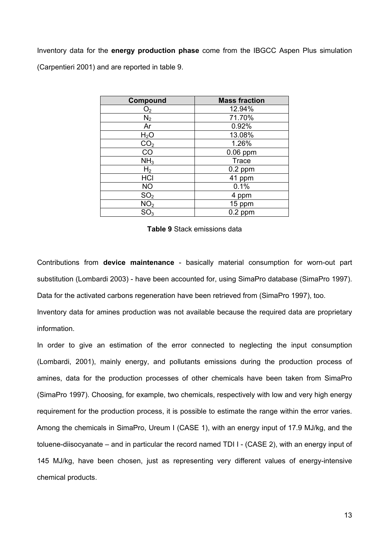Inventory data for the **energy production phase** come from the IBGCC Aspen Plus simulation (Carpentieri 2001) and are reported in table 9.

| Compound         | <b>Mass fraction</b> |
|------------------|----------------------|
| O <sub>2</sub>   | 12.94%               |
| $N_2$            | 71.70%               |
| Ar               | 0.92%                |
| H <sub>2</sub> O | 13.08%               |
| CO <sub>2</sub>  | 1.26%                |
| $\overline{CO}$  | $0.06$ ppm           |
| NH <sub>3</sub>  | <b>Trace</b>         |
| H <sub>2</sub>   | $0.2$ ppm            |
| HCI              | 41 ppm               |
| <b>NO</b>        | 0.1%                 |
| SO <sub>2</sub>  | 4 ppm                |
| NO <sub>2</sub>  | 15 ppm               |
| SO <sub>3</sub>  | $0.2$ ppm            |

**Table 9** Stack emissions data

Contributions from **device maintenance** - basically material consumption for worn-out part substitution (Lombardi 2003) - have been accounted for, using SimaPro database (SimaPro 1997).

Data for the activated carbons regeneration have been retrieved from (SimaPro 1997), too.

Inventory data for amines production was not available because the required data are proprietary information.

In order to give an estimation of the error connected to neglecting the input consumption (Lombardi, 2001), mainly energy, and pollutants emissions during the production process of amines, data for the production processes of other chemicals have been taken from SimaPro (SimaPro 1997). Choosing, for example, two chemicals, respectively with low and very high energy requirement for the production process, it is possible to estimate the range within the error varies. Among the chemicals in SimaPro, Ureum I (CASE 1), with an energy input of 17.9 MJ/kg, and the toluene-diisocyanate – and in particular the record named TDI I - (CASE 2), with an energy input of 145 MJ/kg, have been chosen, just as representing very different values of energy-intensive chemical products.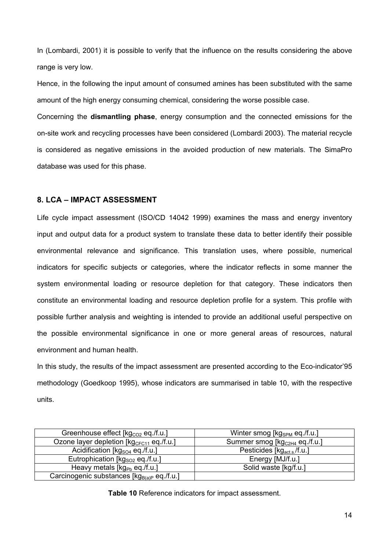In (Lombardi, 2001) it is possible to verify that the influence on the results considering the above range is very low.

Hence, in the following the input amount of consumed amines has been substituted with the same amount of the high energy consuming chemical, considering the worse possible case.

Concerning the **dismantling phase**, energy consumption and the connected emissions for the on-site work and recycling processes have been considered (Lombardi 2003). The material recycle is considered as negative emissions in the avoided production of new materials. The SimaPro database was used for this phase.

## **8. LCA – IMPACT ASSESSMENT**

Life cycle impact assessment (ISO/CD 14042 1999) examines the mass and energy inventory input and output data for a product system to translate these data to better identify their possible environmental relevance and significance. This translation uses, where possible, numerical indicators for specific subjects or categories, where the indicator reflects in some manner the system environmental loading or resource depletion for that category. These indicators then constitute an environmental loading and resource depletion profile for a system. This profile with possible further analysis and weighting is intended to provide an additional useful perspective on the possible environmental significance in one or more general areas of resources, natural environment and human health.

In this study, the results of the impact assessment are presented according to the Eco-indicator'95 methodology (Goedkoop 1995), whose indicators are summarised in table 10, with the respective units.

| Greenhouse effect [kg <sub>co2</sub> eq./f.u.]         | Winter smog [kg <sub>SPM</sub> eq./f.u.]  |
|--------------------------------------------------------|-------------------------------------------|
| Ozone layer depletion [kg <sub>CFC11</sub> eq./f.u.]   | Summer smog [kg <sub>C2H4</sub> eq./f.u.] |
| Acidification [ $kgSO4$ eq./f.u.]                      | Pesticides [kg <sub>act.s</sub> /f.u.]    |
| Eutrophication [kg <sub>so2</sub> eq./f.u.]            | Energy [MJ/f.u.]                          |
| Heavy metals $[\text{kg}_{\text{Pb}}$ eq./f.u.]        | Solid waste [kg/f.u.]                     |
| Carcinogenic substances [kg <sub>B(a)P</sub> eq./f.u.] |                                           |

**Table 10** Reference indicators for impact assessment.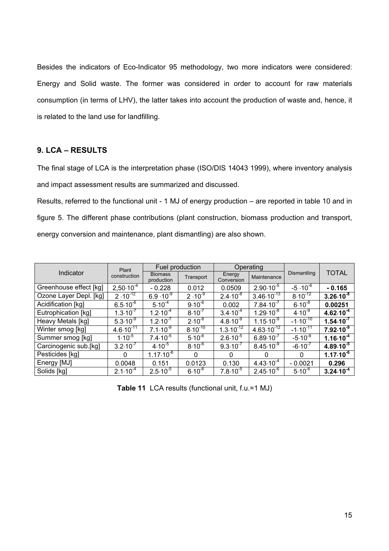Besides the indicators of Eco-Indicator 95 methodology, two more indicators were considered: Energy and Solid waste. The former was considered in order to account for raw materials consumption (in terms of LHV), the latter takes into account the production of waste and, hence, it is related to the land use for landfilling.

# **9. LCA – RESULTS**

The final stage of LCA is the interpretation phase (ISO/DIS 14043 1999), where inventory analysis and impact assessment results are summarized and discussed.

Results, referred to the functional unit - 1 MJ of energy production – are reported in table 10 and in figure 5. The different phase contributions (plant construction, biomass production and transport, energy conversion and maintenance, plant dismantling) are also shown.

|                        | Plant               | Fuel production              |              | Operating            |                       |                    |                      |
|------------------------|---------------------|------------------------------|--------------|----------------------|-----------------------|--------------------|----------------------|
| Indicator              | construction        | <b>Biomass</b><br>production | Transport    | Energy<br>Conversion | Maintenance           | Dismantling        | <b>TOTAL</b>         |
| Greenhouse effect [kg] | $2,50.10^{-4}$      | $-0.228$                     | 0.012        | 0.0509               | $2.90 \cdot 10^{-5}$  | $-5 \cdot 10^{-6}$ | $-0.165$             |
| Ozone Layer Depl. [kg] | $2 \cdot 10^{-12}$  | $6.9 \cdot 10^{-9}$          | $2.10^{-9}$  | $2.4 \cdot 10^{-8}$  | $3.46 \cdot 10^{-13}$ | $8.10^{-12}$       | $3.26 \cdot 10^{-8}$ |
| Acidification [kg]     | $6.5 \cdot 10^{-6}$ | $5.10^{-4}$                  | $9.10^{-6}$  | 0.002                | $7.84 \cdot 10^{-7}$  | $6.10^{-8}$        | 0.00251              |
| Eutrophication [kg]    | $1.3 \cdot 10^{-7}$ | $1.2 \cdot 10^{-4}$          | $8.10^{-7}$  | $3.4 \cdot 10^{-4}$  | $1.29 \cdot 10^{-8}$  | $4.10^{-9}$        | $4.62 \cdot 10^{-4}$ |
| Heavy Metals [kg]      | $5.3 \cdot 10^{-9}$ | $1.2 \cdot 10^{-7}$          | $2.10^{-8}$  | $4.8 \cdot 10^{-9}$  | $1.15 \cdot 10^{-9}$  | $-1.10^{-10}$      | $1.54 \cdot 10^{-7}$ |
| Winter smog [kg]       | $4.6.10^{3}$        | $7.1 \cdot 10^{-9}$          | $8.10^{-10}$ | $1.3 \cdot 10^{-12}$ | $4.63 \cdot 10^{-12}$ | $-1.10^{-11}$      | $7.92 \cdot 10^{-9}$ |
| Summer smog [kg]       | $1.10^{-5}$         | $7.4 \cdot 10^{-5}$          | $5.10^{-6}$  | $2.6 \cdot 10^{-5}$  | $6.89 \cdot 10^{-7}$  | $-5.10^{-9}$       | $1.16 \cdot 10^{-4}$ |
| Carcinogenic sub.[kg]  | $3.2 \cdot 10^{-7}$ | $4.10^{-5}$                  | $8.10^{-6}$  | $9.3 \cdot 10^{-7}$  | $8.45 \cdot 10^{-9}$  | $-6.10^{-7}$       | $4.89 \cdot 10^{-5}$ |
| Pesticides [kg]        | 0                   | $1.17 \cdot 10^{-6}$         | 0            | $\Omega$             | $\Omega$              | $\Omega$           | $1.17 \cdot 10^{-6}$ |
| Energy [MJ]            | 0.0048              | 0.151                        | 0.0123       | 0.130                | $4.43 \cdot 10^{-4}$  | $-0.0021$          | 0.296                |
| Solids [kg]            | $2.1 \cdot 10^{-4}$ | $2.5 \cdot 10^{-5}$          | $6.10^{-6}$  | $7.8 \cdot 10^{-5}$  | $2.45 \cdot 10^{-6}$  | $5.10^{-6}$        | $3.24 \cdot 10^{-4}$ |

**Table 11** LCA results (functional unit, f.u.=1 MJ)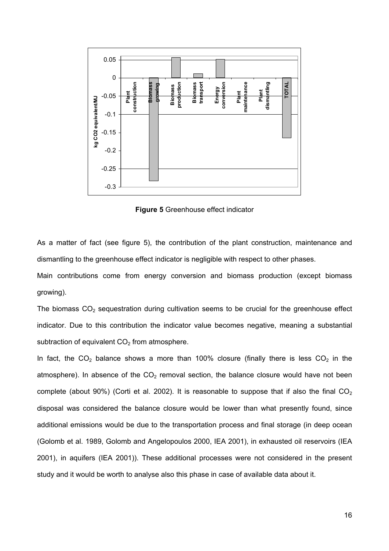

**Figure 5** Greenhouse effect indicator

As a matter of fact (see figure 5), the contribution of the plant construction, maintenance and dismantling to the greenhouse effect indicator is negligible with respect to other phases.

Main contributions come from energy conversion and biomass production (except biomass growing).

The biomass  $CO<sub>2</sub>$  sequestration during cultivation seems to be crucial for the greenhouse effect indicator. Due to this contribution the indicator value becomes negative, meaning a substantial subtraction of equivalent  $CO<sub>2</sub>$  from atmosphere.

In fact, the  $CO<sub>2</sub>$  balance shows a more than 100% closure (finally there is less  $CO<sub>2</sub>$  in the atmosphere). In absence of the  $CO<sub>2</sub>$  removal section, the balance closure would have not been complete (about 90%) (Corti et al. 2002). It is reasonable to suppose that if also the final  $CO<sub>2</sub>$ disposal was considered the balance closure would be lower than what presently found, since additional emissions would be due to the transportation process and final storage (in deep ocean (Golomb et al. 1989, Golomb and Angelopoulos 2000, IEA 2001), in exhausted oil reservoirs (IEA 2001), in aquifers (IEA 2001)). These additional processes were not considered in the present study and it would be worth to analyse also this phase in case of available data about it.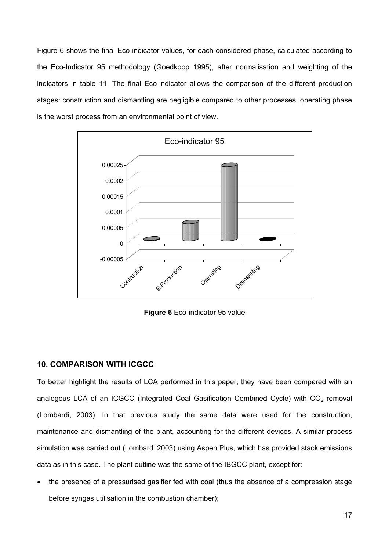Figure 6 shows the final Eco-indicator values, for each considered phase, calculated according to the Eco-Indicator 95 methodology (Goedkoop 1995), after normalisation and weighting of the indicators in table 11. The final Eco-indicator allows the comparison of the different production stages: construction and dismantling are negligible compared to other processes; operating phase is the worst process from an environmental point of view.



**Figure 6** Eco-indicator 95 value

## **10. COMPARISON WITH ICGCC**

To better highlight the results of LCA performed in this paper, they have been compared with an analogous LCA of an ICGCC (Integrated Coal Gasification Combined Cycle) with  $CO<sub>2</sub>$  removal (Lombardi, 2003). In that previous study the same data were used for the construction, maintenance and dismantling of the plant, accounting for the different devices. A similar process simulation was carried out (Lombardi 2003) using Aspen Plus, which has provided stack emissions data as in this case. The plant outline was the same of the IBGCC plant, except for:

• the presence of a pressurised gasifier fed with coal (thus the absence of a compression stage before syngas utilisation in the combustion chamber);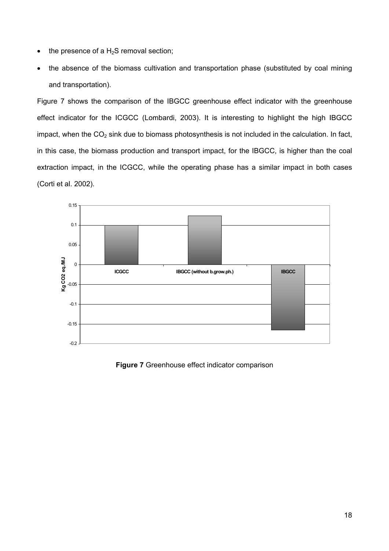- the presence of a  $H_2S$  removal section;
- the absence of the biomass cultivation and transportation phase (substituted by coal mining and transportation).

Figure 7 shows the comparison of the IBGCC greenhouse effect indicator with the greenhouse effect indicator for the ICGCC (Lombardi, 2003). It is interesting to highlight the high IBGCC impact, when the  $CO<sub>2</sub>$  sink due to biomass photosynthesis is not included in the calculation. In fact, in this case, the biomass production and transport impact, for the IBGCC, is higher than the coal extraction impact, in the ICGCC, while the operating phase has a similar impact in both cases (Corti et al. 2002).



**Figure 7** Greenhouse effect indicator comparison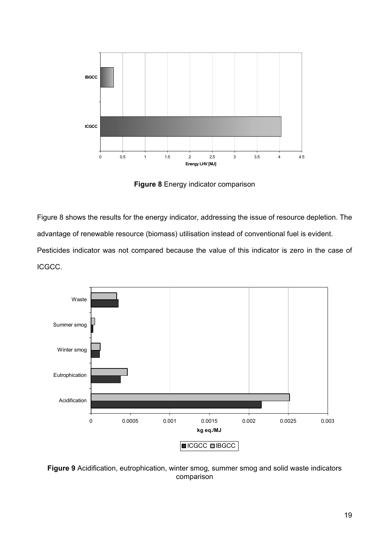

**Figure 8** Energy indicator comparison

Figure 8 shows the results for the energy indicator, addressing the issue of resource depletion. The advantage of renewable resource (biomass) utilisation instead of conventional fuel is evident. Pesticides indicator was not compared because the value of this indicator is zero in the case of

ICGCC.



**Figure 9** Acidification, eutrophication, winter smog, summer smog and solid waste indicators comparison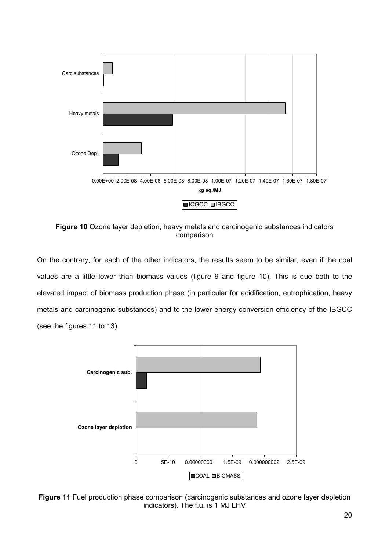

**Figure 10** Ozone layer depletion, heavy metals and carcinogenic substances indicators comparison

On the contrary, for each of the other indicators, the results seem to be similar, even if the coal values are a little lower than biomass values (figure 9 and figure 10). This is due both to the elevated impact of biomass production phase (in particular for acidification, eutrophication, heavy metals and carcinogenic substances) and to the lower energy conversion efficiency of the IBGCC (see the figures 11 to 13).



**Figure 11** Fuel production phase comparison (carcinogenic substances and ozone layer depletion indicators). The f.u. is 1 MJ LHV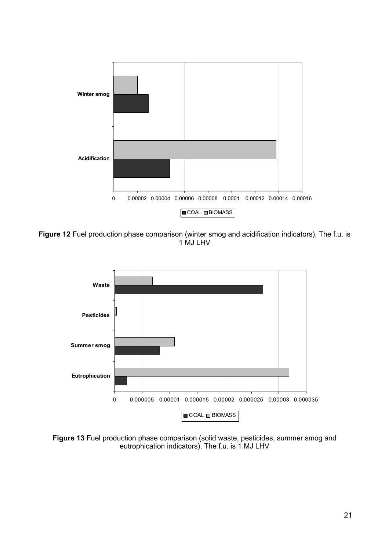

**Figure 12** Fuel production phase comparison (winter smog and acidification indicators). The f.u. is 1 MJ LHV



**Figure 13** Fuel production phase comparison (solid waste, pesticides, summer smog and eutrophication indicators). The f.u. is 1 MJ LHV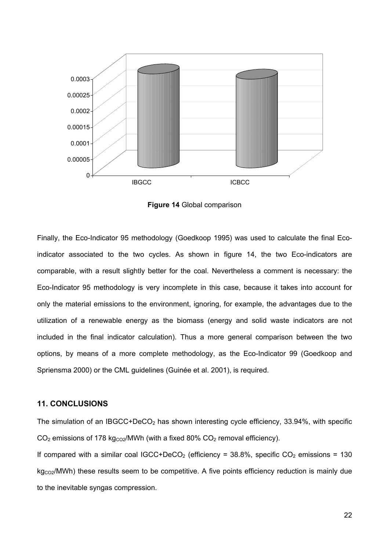

**Figure 14** Global comparison

Finally, the Eco-Indicator 95 methodology (Goedkoop 1995) was used to calculate the final Ecoindicator associated to the two cycles. As shown in figure 14, the two Eco-indicators are comparable, with a result slightly better for the coal. Nevertheless a comment is necessary: the Eco-Indicator 95 methodology is very incomplete in this case, because it takes into account for only the material emissions to the environment, ignoring, for example, the advantages due to the utilization of a renewable energy as the biomass (energy and solid waste indicators are not included in the final indicator calculation). Thus a more general comparison between the two options, by means of a more complete methodology, as the Eco-Indicator 99 (Goedkoop and Spriensma 2000) or the CML guidelines (Guinée et al. 2001), is required.

#### **11. CONCLUSIONS**

The simulation of an IBGCC+DeCO<sub>2</sub> has shown interesting cycle efficiency, 33.94%, with specific  $CO<sub>2</sub>$  emissions of 178 kg<sub>CO2</sub>/MWh (with a fixed 80%  $CO<sub>2</sub>$  removal efficiency). If compared with a similar coal IGCC+DeCO<sub>2</sub> (efficiency = 38.8%, specific CO<sub>2</sub> emissions = 130  $kg<sub>CO2</sub>/MWh$ ) these results seem to be competitive. A five points efficiency reduction is mainly due to the inevitable syngas compression.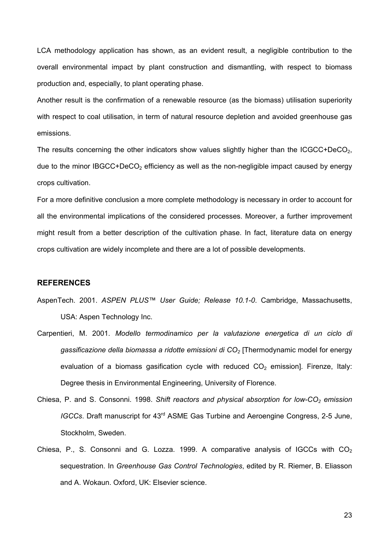LCA methodology application has shown, as an evident result, a negligible contribution to the overall environmental impact by plant construction and dismantling, with respect to biomass production and, especially, to plant operating phase.

Another result is the confirmation of a renewable resource (as the biomass) utilisation superiority with respect to coal utilisation, in term of natural resource depletion and avoided greenhouse gas emissions.

The results concerning the other indicators show values slightly higher than the  $ICGCC+DecO<sub>2</sub>$ , due to the minor IBGCC+DeCO<sub>2</sub> efficiency as well as the non-negligible impact caused by energy crops cultivation.

For a more definitive conclusion a more complete methodology is necessary in order to account for all the environmental implications of the considered processes. Moreover, a further improvement might result from a better description of the cultivation phase. In fact, literature data on energy crops cultivation are widely incomplete and there are a lot of possible developments.

#### **REFERENCES**

- AspenTech. 2001. *ASPEN PLUS™ User Guide; Release 10.1-0*. Cambridge, Massachusetts, USA: Aspen Technology Inc.
- Carpentieri, M. 2001. *Modello termodinamico per la valutazione energetica di un ciclo di gassificazione della biomassa a ridotte emissioni di CO2* [Thermodynamic model for energy evaluation of a biomass gasification cycle with reduced  $CO<sub>2</sub>$  emission]. Firenze, Italy: Degree thesis in Environmental Engineering, University of Florence.
- Chiesa, P. and S. Consonni. 1998. *Shift reactors and physical absorption for low-CO<sub>2</sub> emission IGCCs*. Draft manuscript for 43<sup>rd</sup> ASME Gas Turbine and Aeroengine Congress, 2-5 June, Stockholm, Sweden.
- Chiesa, P., S. Consonni and G. Lozza. 1999. A comparative analysis of IGCCs with  $CO<sub>2</sub>$ sequestration. In *Greenhouse Gas Control Technologies*, edited by R. Riemer, B. Eliasson and A. Wokaun. Oxford, UK: Elsevier science.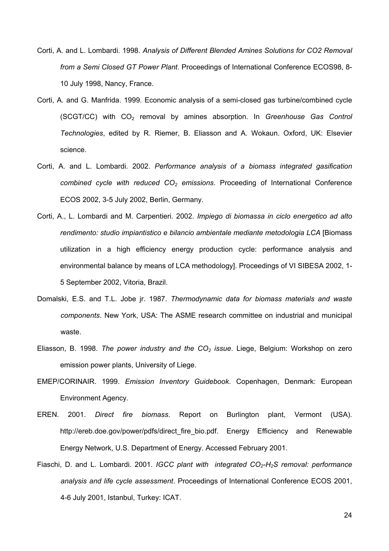- Corti, A. and L. Lombardi. 1998. *Analysis of Different Blended Amines Solutions for CO2 Removal from a Semi Closed GT Power Plant*. Proceedings of International Conference ECOS98, 8- 10 July 1998, Nancy, France.
- Corti, A. and G. Manfrida. 1999. Economic analysis of a semi-closed gas turbine/combined cycle (SCGT/CC) with CO2 removal by amines absorption. In *Greenhouse Gas Control Technologies*, edited by R. Riemer, B. Eliasson and A. Wokaun. Oxford, UK: Elsevier science.
- Corti, A. and L. Lombardi. 2002. *Performance analysis of a biomass integrated gasification combined cycle with reduced CO<sub>2</sub> emissions*. Proceeding of International Conference ECOS 2002, 3-5 July 2002, Berlin, Germany.
- Corti, A., L. Lombardi and M. Carpentieri. 2002. *Impiego di biomassa in ciclo energetico ad alto rendimento: studio impiantistico e bilancio ambientale mediante metodologia LCA* [Biomass utilization in a high efficiency energy production cycle: performance analysis and environmental balance by means of LCA methodology]. Proceedings of VI SIBESA 2002, 1- 5 September 2002, Vitoria, Brazil.
- Domalski, E.S. and T.L. Jobe jr. 1987. *Thermodynamic data for biomass materials and waste components*. New York, USA: The ASME research committee on industrial and municipal waste.
- Eliasson, B. 1998. *The power industry and the CO<sub>2</sub> issue*. Liege, Belgium: Workshop on zero emission power plants, University of Liege.
- EMEP/CORINAIR. 1999. *Emission Inventory Guidebook*. Copenhagen, Denmark: European Environment Agency.
- EREN. 2001. *Direct fire biomass*. Report on Burlington plant, Vermont (USA). http://ereb.doe.gov/power/pdfs/direct\_fire\_bio.pdf. Energy Efficiency and Renewable Energy Network, U.S. Department of Energy. Accessed February 2001.
- Fiaschi, D. and L. Lombardi. 2001. *IGCC plant with integrated CO<sub>2</sub>-H<sub>2</sub>S removal: performance analysis and life cycle assessment*. Proceedings of International Conference ECOS 2001, 4-6 July 2001, Istanbul, Turkey: ICAT.

24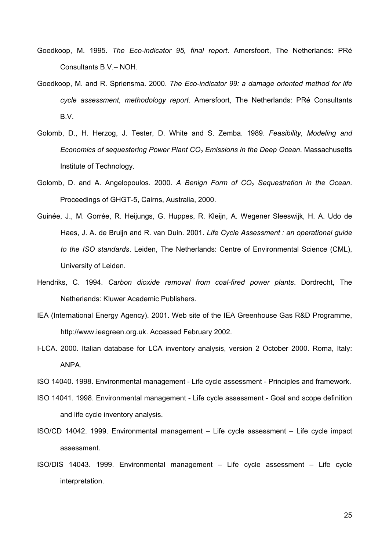- Goedkoop, M. 1995. *The Eco-indicator 95, final report*. Amersfoort, The Netherlands: PRé Consultants B.V.– NOH.
- Goedkoop, M. and R. Spriensma. 2000. *The Eco-indicator 99: a damage oriented method for life cycle assessment, methodology report*. Amersfoort, The Netherlands: PRé Consultants B.V.
- Golomb, D., H. Herzog, J. Tester, D. White and S. Zemba. 1989. *Feasibility, Modeling and Economics of sequestering Power Plant CO<sub>2</sub> Emissions in the Deep Ocean. Massachusetts* Institute of Technology.
- Golomb, D. and A. Angelopoulos. 2000. A Benign Form of CO<sub>2</sub> Sequestration in the Ocean. Proceedings of GHGT-5, Cairns, Australia, 2000.
- Guinée, J., M. Gorrée, R. Heijungs, G. Huppes, R. Kleijn, A. Wegener Sleeswijk, H. A. Udo de Haes, J. A. de Bruijn and R. van Duin. 2001. *Life Cycle Assessment : an operational guide to the ISO standards*. Leiden, The Netherlands: Centre of Environmental Science (CML), University of Leiden.
- Hendriks, C. 1994. *Carbon dioxide removal from coal-fired power plants*. Dordrecht, The Netherlands: Kluwer Academic Publishers.
- IEA (International Energy Agency). 2001. Web site of the IEA Greenhouse Gas R&D Programme, http://www.ieagreen.org.uk. Accessed February 2002.
- I-LCA. 2000. Italian database for LCA inventory analysis, version 2 October 2000. Roma, Italy: ANPA.
- ISO 14040. 1998. Environmental management Life cycle assessment Principles and framework.
- ISO 14041. 1998. Environmental management Life cycle assessment Goal and scope definition and life cycle inventory analysis.
- ISO/CD 14042. 1999. Environmental management Life cycle assessment Life cycle impact assessment.
- ISO/DIS 14043. 1999. Environmental management Life cycle assessment Life cycle interpretation.